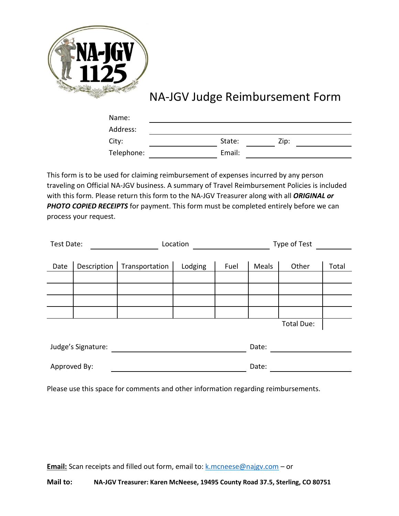

# NA-JGV Judge Reimbursement Form

| Name:      |        |      |  |
|------------|--------|------|--|
| Address:   |        |      |  |
| City:      | State: | Zip: |  |
| Telephone: | Email: |      |  |

This form is to be used for claiming reimbursement of expenses incurred by any person traveling on Official NA-JGV business. A summary of Travel Reimbursement Policies is included with this form. Please return this form to the NA-JGV Treasurer along with all *ORIGINAL or*  **PHOTO COPIED RECEIPTS** for payment. This form must be completed entirely before we can process your request.

| Test Date:         |             | Location       |         | Type of Test |       |            |       |
|--------------------|-------------|----------------|---------|--------------|-------|------------|-------|
|                    |             |                |         |              |       |            |       |
| Date               | Description | Transportation | Lodging | Fuel         | Meals | Other      | Total |
|                    |             |                |         |              |       |            |       |
|                    |             |                |         |              |       |            |       |
|                    |             |                |         |              |       |            |       |
|                    |             |                |         |              |       |            |       |
|                    |             |                |         |              |       | Total Due: |       |
|                    |             |                |         |              |       |            |       |
| Judge's Signature: |             |                | Date:   |              |       |            |       |
|                    |             |                |         |              |       |            |       |
| Approved By:       |             |                | Date:   |              |       |            |       |

Please use this space for comments and other information regarding reimbursements.

**Email:** Scan receipts and filled out form, email to: [k.mcneese@najgv.com](mailto:k.mcneese@najgv.com) – or